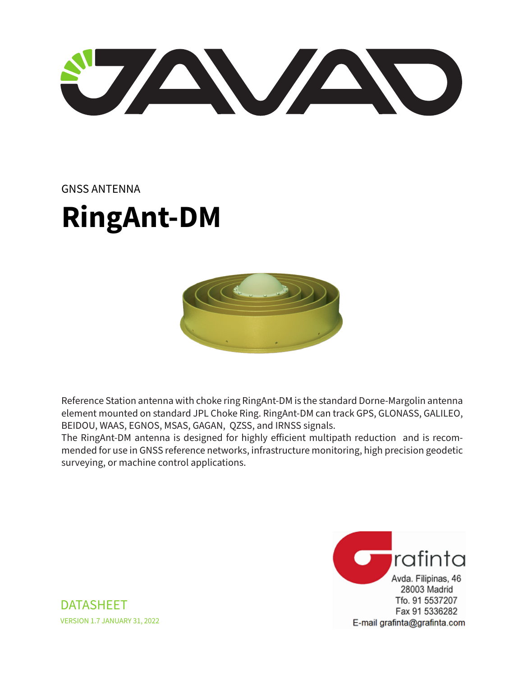U ANTE

## GNSS ANTENNA

## **RingAnt-DM**



Reference Station antenna with choke ring RingAnt-DM is the standard Dorne-Margolin antenna element mounted on standard JPL Choke Ring. RingAnt-DM can track GPS, GLONASS, GALILEO, BEIDOU, WAAS, EGNOS, MSAS, GAGAN, QZSS, and IRNSS signals.

The RingAnt-DM antenna is designed for highly efficient multipath reduction and is recommended for use in GNSS reference networks, infrastructure monitoring, high precision geodetic surveying, or machine control applications.



DATASHEET VERSION 1.7 JANUARY 31, 2022